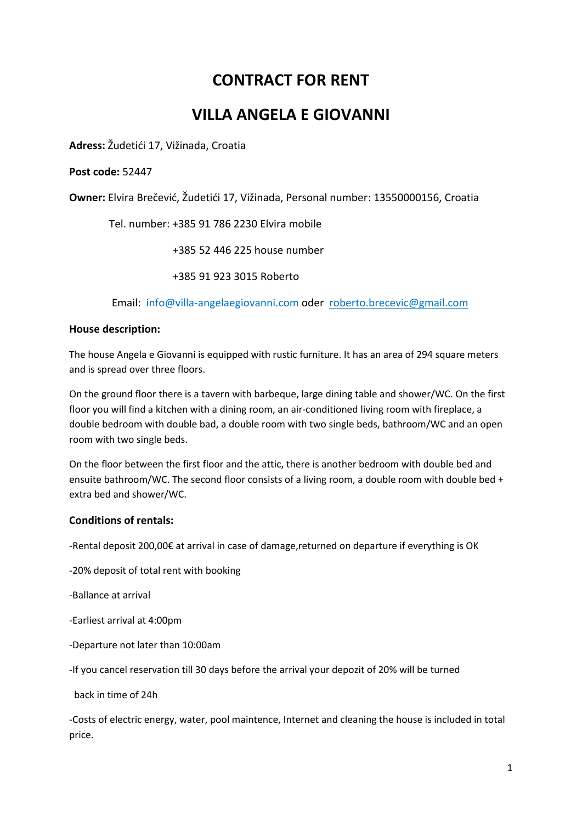# **CONTRACT FOR RENT**

## **VILLA ANGELA E GIOVANNI**

**Adress:** Žudetići 17, Vižinada, Croatia

#### **Post code:** 52447

**Owner:** Elvira Brečević, Žudetići 17, Vižinada, Personal number: 13550000156, Croatia

Tel. number: +385 91 786 2230 Elvira mobile

+385 52 446 225 house number

+385 91 923 3015 Roberto

Email: info@villa-angelaegiovanni.com oder [roberto.brecevic@gmail.com](mailto:roberto.brecevic@gmail.com)

#### **House description:**

The house Angela e Giovanni is equipped with rustic furniture. It has an area of 294 square meters and is spread over three floors.

On the ground floor there is a tavern with barbeque, large dining table and shower/WC. On the first floor you will find a kitchen with a dining room, an air-conditioned living room with fireplace, a double bedroom with double bad, a double room with two single beds, bathroom/WC and an open room with two single beds.

On the floor between the first floor and the attic, there is another bedroom with double bed and ensuite bathroom/WC. The second floor consists of a living room, a double room with double bed + extra bed and shower/WC.

#### **Conditions of rentals:**

-Rental deposit 200,00€ at arrival in case of damage,returned on departure if everything is OK

-20% deposit of total rent with booking

-Ballance at arrival

-Earliest arrival at 4:00pm

-Departure not later than 10:00am

-If you cancel reservation till 30 days before the arrival your depozit of 20% will be turned

back in time of 24h

-Costs of electric energy, water, pool maintence, Internet and cleaning the house is included in total price.